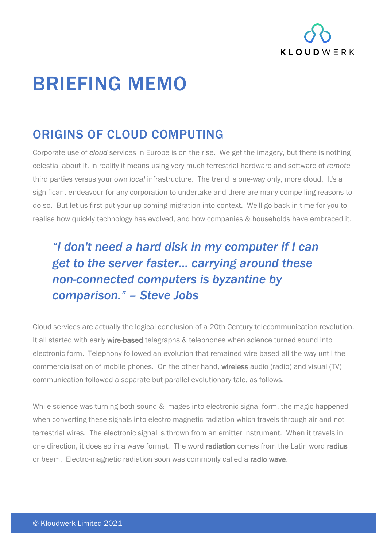

## BRIEFING MEMO

## ORIGINS OF CLOUD COMPUTING

Corporate use of *cloud* services in Europe is on the rise. We get the imagery, but there is nothing celestial about it, in reality it means using very much terrestrial hardware and software of *remote* third parties versus your own *local* infrastructure. The trend is one-way only, more cloud. It's a significant endeavour for any corporation to undertake and there are many compelling reasons to do so. But let us first put your up-coming migration into context. We'll go back in time for you to realise how quickly technology has evolved, and how companies & households have embraced it.

## *"I don't need a hard disk in my computer if I can get to the server faster... carrying around these non-connected computers is byzantine by comparison." – Steve Jobs*

Cloud services are actually the logical conclusion of a 20th Century telecommunication revolution. It all started with early wire-based telegraphs & telephones when science turned sound into electronic form. Telephony followed an evolution that remained wire-based all the way until the commercialisation of mobile phones. On the other hand, wireless audio (radio) and visual (TV) communication followed a separate but parallel evolutionary tale, as follows.

While science was turning both sound & images into electronic signal form, the magic happened when converting these signals into electro-magnetic radiation which travels through air and not terrestrial wires. The electronic signal is thrown from an emitter instrument. When it travels in one direction, it does so in a wave format. The word radiation comes from the Latin word radius or beam. Electro-magnetic radiation soon was commonly called a radio wave.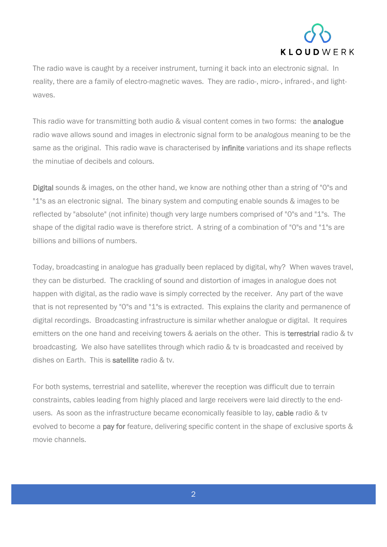

The radio wave is caught by a receiver instrument, turning it back into an electronic signal. In reality, there are a family of electro-magnetic waves. They are radio-, micro-, infrared-, and lightwaves.

This radio wave for transmitting both audio & visual content comes in two forms: the analogue radio wave allows sound and images in electronic signal form to be *analogous* meaning to be the same as the original. This radio wave is characterised by infinite variations and its shape reflects the minutiae of decibels and colours.

Digital sounds & images, on the other hand, we know are nothing other than a string of "0"s and "1"s as an electronic signal. The binary system and computing enable sounds & images to be reflected by "absolute" (not infinite) though very large numbers comprised of "0"s and "1"s. The shape of the digital radio wave is therefore strict. A string of a combination of "0"s and "1"s are billions and billions of numbers.

Today, broadcasting in analogue has gradually been replaced by digital, why? When waves travel, they can be disturbed. The crackling of sound and distortion of images in analogue does not happen with digital, as the radio wave is simply corrected by the receiver. Any part of the wave that is not represented by "0"s and "1"s is extracted. This explains the clarity and permanence of digital recordings. Broadcasting infrastructure is similar whether analogue or digital. It requires emitters on the one hand and receiving towers & aerials on the other. This is terrestrial radio & tv broadcasting. We also have satellites through which radio & tv is broadcasted and received by dishes on Earth. This is satellite radio & tv.

For both systems, terrestrial and satellite, wherever the reception was difficult due to terrain constraints, cables leading from highly placed and large receivers were laid directly to the endusers. As soon as the infrastructure became economically feasible to lay, cable radio & tv evolved to become a pay for feature, delivering specific content in the shape of exclusive sports & movie channels.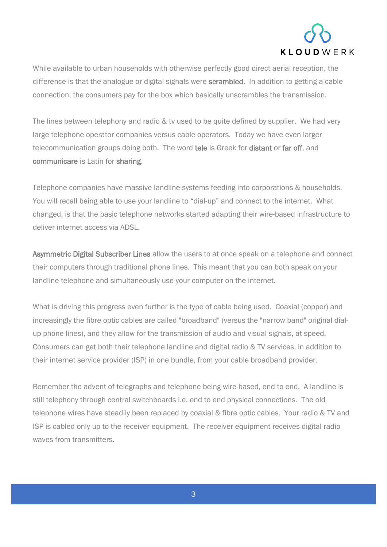

While available to urban households with otherwise perfectly good direct aerial reception, the difference is that the analogue or digital signals were scrambled. In addition to getting a cable connection, the consumers pay for the box which basically unscrambles the transmission.

The lines between telephony and radio & tv used to be quite defined by supplier. We had very large telephone operator companies versus cable operators. Today we have even larger telecommunication groups doing both. The word tele is Greek for distant or far off, and communicare is Latin for sharing.

Telephone companies have massive landline systems feeding into corporations & households. You will recall being able to use your landline to "dial-up" and connect to the internet. What changed, is that the basic telephone networks started adapting their wire-based infrastructure to deliver internet access via ADSL.

Asymmetric Digital Subscriber Lines allow the users to at once speak on a telephone and connect their computers through traditional phone lines. This meant that you can both speak on your landline telephone and simultaneously use your computer on the internet.

What is driving this progress even further is the type of cable being used. Coaxial (copper) and increasingly the fibre optic cables are called "broadband" (versus the "narrow band" original dialup phone lines), and they allow for the transmission of audio and visual signals, at speed. Consumers can get both their telephone landline and digital radio & TV services, in addition to their internet service provider (ISP) in one bundle, from your cable broadband provider.

Remember the advent of telegraphs and telephone being wire-based, end to end. A landline is still telephony through central switchboards i.e. end to end physical connections. The old telephone wires have steadily been replaced by coaxial & fibre optic cables. Your radio & TV and ISP is cabled only up to the receiver equipment. The receiver equipment receives digital radio waves from transmitters.